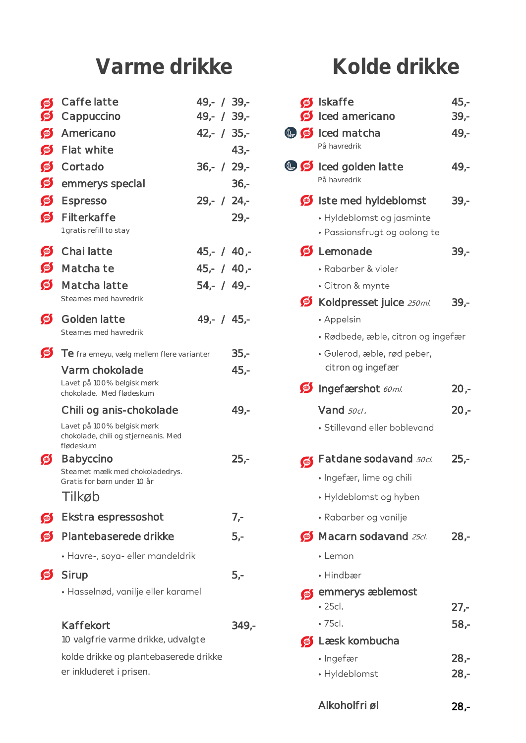# Varme drikke<br>
Kolde drikke

| $\bullet$      | Caffe latte                                                                     | $49 - / 39 -$ |         |             | Siskaffe                                                  | $45 -$  |
|----------------|---------------------------------------------------------------------------------|---------------|---------|-------------|-----------------------------------------------------------|---------|
| $\bullet$      | Cappuccino                                                                      | $49 - / 39 -$ |         |             | Sinced americano                                          | $39 -$  |
| $\bullet$      | Americano                                                                       | $42 - 735 -$  |         |             | <b>O S</b> Iced matcha<br>På havredrik                    | $49 -$  |
| S              | Flat white                                                                      |               | $43,-$  |             |                                                           |         |
| $\bullet$      | Cortado                                                                         | $36 - / 29 -$ |         |             | <b>O S</b> Iced golden latte<br>På havredrik              | $49,-$  |
| S              | emmerys special                                                                 |               | $36 -$  |             |                                                           |         |
| S<br>$\bullet$ | Espresso<br>Filterkaffe                                                         | $29 - 724 -$  |         |             | Soliste med hyldeblomst                                   | $39 -$  |
|                | 1 gratis refill to stay                                                         |               | $29 -$  |             | · Hyldeblomst og jasminte<br>• Passionsfrugt og oolong te |         |
| $\bullet$      | Chai latte                                                                      | $45 - 40 -$   |         |             | S Lemonade                                                | $39 -$  |
| S              | Matcha te                                                                       | $45 - / 40 -$ |         |             | • Rabarber & violer                                       |         |
| S              | Matcha latte                                                                    | $54 - 749 -$  |         |             | • Citron & mynte                                          |         |
|                | Steames med havredrik                                                           |               |         |             | Koldpresset juice 250ml.                                  | $39 -$  |
| S              | Golden latte                                                                    | $49 - 745 -$  |         |             | • Appelsin                                                |         |
|                | Steames med havredrik                                                           |               |         |             | · Rødbede, æble, citron og ingefær                        |         |
| $\bullet$      | Te fra emeyu, vælg mellem flere varianter                                       |               | $35,-$  |             | · Gulerod, æble, rød peber,                               |         |
|                | Varm chokolade<br>Lavet på 100% belgisk mørk<br>chokolade. Med flødeskum        |               | $45,-$  |             | citron og ingefær<br>Sungefærshot 60ml.                   | $20 -$  |
|                | Chili og anis-chokolade                                                         |               | $49,-$  |             | Vand 50cl.                                                | $20 -$  |
|                | Lavet på 100% belgisk mørk<br>chokolade, chili og stjerneanis. Med<br>flødeskum |               |         |             | · Stillevand eller boblevand                              |         |
| S              | <b>Babyccino</b>                                                                |               | $25 -$  | $\bigoplus$ | Fatdane sodavand <b>50cl.</b>                             | $25,-$  |
|                | Steamet mælk med chokoladedrys.<br>Gratis for børn under 10 år                  |               |         |             | • Ingefær, lime og chili                                  |         |
|                | Tilkøb                                                                          |               |         |             | • Hyldeblomst og hyben                                    |         |
| S              | Ekstra espressoshot                                                             |               | $7 -$   |             | • Rabarber og vanilje                                     |         |
| S              | Plantebaserede drikke                                                           |               | $5,-$   |             | $\bullet$ Macarn sodavand 25cl.                           | $28 -$  |
|                | · Havre-, soya- eller mandeldrik                                                |               |         |             | • Lemon                                                   |         |
| S              | Sirup                                                                           |               | $5,-$   |             | • Hindbær                                                 |         |
|                | · Hasselnød, vanilje eller karamel                                              |               |         | $\bigcirc$  | emmerys æblemost<br>$\cdot$ 25cl.                         | $27 -$  |
|                | Kaffekort                                                                       |               | $349 -$ |             | · 75cl.                                                   | $58 -$  |
|                | 10 valgfrie varme drikke, udvalgte                                              |               |         |             | S Læsk kombucha                                           |         |
|                | kolde drikke og plantebaserede drikke                                           |               |         |             | · Ingefær                                                 | $28. -$ |

| Caffe latte<br>Cappuccino                                                       | $49 - / 39 -$<br>$49 - / 39 -$ |         |            | Siskaffe<br>Sinced americano                              | $45,-$<br>$39 -$ |
|---------------------------------------------------------------------------------|--------------------------------|---------|------------|-----------------------------------------------------------|------------------|
| Americano                                                                       | $42 - 735 -$                   |         |            | <b>O S</b> Iced matcha                                    | $49 -$           |
| Flat white                                                                      |                                | $43 -$  |            | På havredrik                                              |                  |
| Cortado                                                                         | $36 - / 29 -$                  |         |            | <b>O S</b> Iced golden latte                              | $49 -$           |
| emmerys special                                                                 |                                | $36 -$  |            | På havredrik                                              |                  |
| <b>Espresso</b>                                                                 | $29 - 724 -$                   |         |            | Ste med hyldeblomst                                       | $39 -$           |
| Filterkaffe<br>1 gratis refill to stay                                          |                                | $29 -$  |            | · Hyldeblomst og jasminte<br>• Passionsfrugt og oolong te |                  |
| Chai latte                                                                      | $45,- / 40,-$                  |         |            | S Lemonade                                                | $39 -$           |
| Matcha te                                                                       | $45,- / 40,-$                  |         |            | • Rabarber & violer                                       |                  |
| Matcha latte                                                                    | $54 - 749 -$                   |         |            | • Citron & mynte                                          |                  |
| Steames med havredrik                                                           |                                |         |            | Koldpresset juice 250ml.                                  | $39 -$           |
| Golden latte                                                                    | $49 - 45 -$                    |         |            | • Appelsin                                                |                  |
| Steames med havredrik                                                           |                                |         |            | · Rødbede, æble, citron og ingefær                        |                  |
| Te fra emeyu, vælg mellem flere varianter                                       |                                | $35 -$  |            | · Gulerod, æble, rød peber,                               |                  |
| Varm chokolade                                                                  |                                | $45,-$  |            | citron og ingefær                                         |                  |
| Lavet på 100% belgisk mørk<br>chokolade. Med flødeskum                          |                                |         |            | <b>S</b> Ingefærshot 60ml.                                | $2O -$           |
| Chili og anis-chokolade                                                         |                                | $49 -$  |            | Vand 50cl.                                                | $2O -$           |
| Lavet på 100% belgisk mørk<br>chokolade, chili og stjerneanis. Med<br>flødeskum |                                |         |            | · Stillevand eller boblevand                              |                  |
| <b>Babyccino</b>                                                                |                                | $25 -$  | $\bigcirc$ | Fatdane sodavand <b>50cl.</b>                             | $25 -$           |
| Steamet mælk med chokoladedrys.<br>Gratis for børn under 10 år                  |                                |         |            | • Ingefær, lime og chili                                  |                  |
| Tilkøb                                                                          |                                |         |            | • Hyldeblomst og hyben                                    |                  |
| Ekstra espressoshot                                                             |                                | $7 -$   |            | • Rabarber og vanilje                                     |                  |
| Plantebaserede drikke                                                           |                                | $5,-$   |            | $\bullet$ Macarn sodavand 25cl.                           | $28 -$           |
| · Havre-, soya- eller mandeldrik                                                |                                |         |            | • Lemon                                                   |                  |
| Sirup                                                                           |                                | $5,-$   |            | • Hindbær                                                 |                  |
| · Hasselnød, vanilje eller karamel                                              |                                |         | $\bigcirc$ | emmerys æblemost<br>$\cdot$ 25cl.                         | $27 -$           |
| Kaffekort                                                                       |                                | $349 -$ |            | $\cdot$ 75cl.                                             | $58,-$           |
| 10 valgfrie varme drikke, udvalgte                                              |                                |         | $\bullet$  | Læsk kombucha                                             |                  |
| kolde drikke og plantebaserede drikke                                           |                                |         |            | • Ingefær                                                 | $28 -$           |
| er inkluderet i prisen.                                                         |                                |         |            | • Hyldeblomst                                             | $28 -$           |

Alkoholfri øl 28,-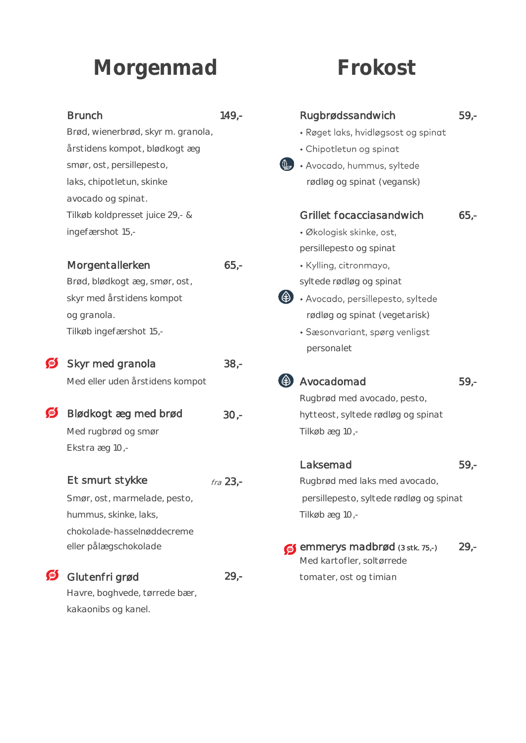## **Morgenmad**

## **Frokost**

| <b>Brunch</b>                      | $149,-$    | Rugbrødssandwich                                           | $59,-$ |
|------------------------------------|------------|------------------------------------------------------------|--------|
| Brød, wienerbrød, skyr m. granola, |            | · Røget laks, hvidløgsost og spinat                        |        |
| årstidens kompot, blødkogt æg      |            | · Chipotletun og spinat                                    |        |
| smør, ost, persillepesto,          |            | · Avocado, hummus, syltede                                 |        |
| laks, chipotletun, skinke          |            | rødløg og spinat (vegansk)                                 |        |
| avocado og spinat.                 |            |                                                            |        |
| Tilkøb koldpresset juice 29,- &    |            | Grillet focacciasandwich                                   | $65,-$ |
| ingefærshot 15,-                   |            | • Økologisk skinke, ost,                                   |        |
|                                    |            | persillepesto og spinat                                    |        |
| Morgentallerken                    | $65 -$     | • Kylling, citronmayo,                                     |        |
| Brød, blødkogt æg, smør, ost,      |            | syltede rødløg og spinat                                   |        |
| skyr med årstidens kompot          |            | · Avocado, persillepesto, syltede                          |        |
| og granola.                        |            | rødløg og spinat (vegetarisk)                              |        |
| Tilkøb ingefærshot 15,-            |            | · Sæsonvariant, spørg venligst                             |        |
|                                    |            | personalet                                                 |        |
| Skyr med granola                   | $38 -$     |                                                            |        |
| Med eller uden årstidens kompot    |            | Avocadomad                                                 | $59 -$ |
|                                    |            | Rugbrød med avocado, pesto,                                |        |
| Blødkogt æg med brød               | $30 -$     | hytteost, syltede rødløg og spinat                         |        |
| Med rugbrød og smør                |            | Tilkøbæg 10,-                                              |        |
| Ekstra æg 10,-                     |            |                                                            |        |
|                                    |            | Laksemad                                                   | $59 -$ |
| Et smurt stykke                    | $fra$ 23,- | Rugbrød med laks med avocado,                              |        |
| Smør, ost, marmelade, pesto,       |            | persillepesto, syltede rødløg og spinat                    |        |
| hummus, skinke, laks,              |            | Tilkøbæg 10,-                                              |        |
| chokolade-hasselnøddecreme         |            |                                                            |        |
| eller pålægschokolade              |            | emmerys madbrød (3 stk. 75,-)<br>Med kartofler, soltørrede | $29 -$ |
| Glutenfri grød                     | $29 -$     | tomater, ost og timian                                     |        |
| Havre, boghvede, tørrede bær,      |            |                                                            |        |

### Morgentallerker Brød, blødkogt æg skyr med årstidens

| Skyr med granola                |      |
|---------------------------------|------|
| Med eller uden årstidens kompot |      |
| Blødkogt æg med brød            | 30.- |
| Med rugbrød og smør             |      |
| Ekstra æg 10,-                  |      |
|                                 |      |

### Et smurt stykke

## $\mathcal{I}$  Glutenfri grød

Havre, boghvede, t kakaonibs og kanel.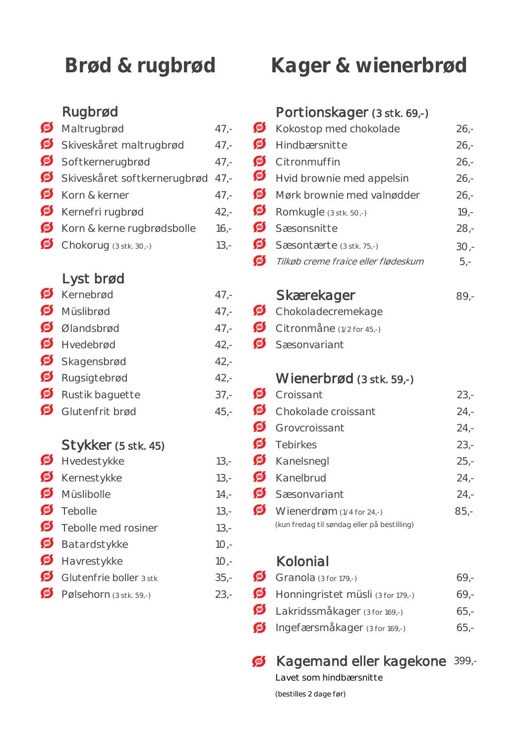|            | Maltrugbrød                      | 47.             |
|------------|----------------------------------|-----------------|
|            | Skiveskåret maltrugbrød          | 47,             |
|            | Softkernerugbrød                 | 47.             |
|            | Skiveskåret softkernerugbrød 47, |                 |
|            | Korn & kerner                    | 47.             |
|            | Kernefri rugbrød                 | 42.             |
|            | Korn & kerne rugbrødsbolle       | 16 <sub>i</sub> |
| $\bigcirc$ | $Chokar10$ (2 other 20)          | 12.             |

### Lyst brød

### Müslibrød 47,- Schokoladecremekage Ølandsbrød 47,- Citronmåne (1/2 for 45,-)  $\bullet$  Hvedebrød  $42.$ - $\bullet$  Sæsonvariant Skagensbrød 42,-Rugsigtebrød 42,- Wienerbrød (3 stk. 59,-)  $\bullet$  Rustik baguette 37,- $\bullet$  Glutenfrit brød  $45.$ -

### Stykker (5 stk. 45)

| $\bullet$ Hyedestykke             |        | 13,- $\bullet$ Kanelsnegl                   |
|-----------------------------------|--------|---------------------------------------------|
| Kernestykke                       | $13 -$ | Kanelbrud                                   |
| Müslibolle                        | $14 -$ | Sæsonvariant                                |
| $\bullet$ Tebolle                 | $13 -$ | Wienerdrøm $(1/4$ for 24,-)                 |
| Febolle med rosiner               | $13 -$ | (kun fredag til søndag eller på bestilling) |
| Batardstykke                      | $10 -$ |                                             |
| Havrestykke                       | $10 -$ | Kolonial                                    |
| $\bullet$ Glutenfrie boller 3 stk | $35 -$ | Granola $(3$ for 179,-)                     |
|                                   |        |                                             |

 $\bullet$  Pølsehorn (3 stk. 59,-) 23,-

# **Brød & rugbrød Kager & wienerbrød**

### Rugbrød Portionskager (3 stk. 69,-)

 $M_{\text{Kokostop}}$   $\text{Med}$  chokolade 26,- $\overline{\bullet}$  Hindbærsnitte 26,- $\bullet$  Citronmuffin 26,- $\bullet$  Hvid brownie med appelsin 26,- $\bullet$  Mørk brownie med valnødder  $\bullet$  26,-**Kernefrid 42** Romkugle (3 stk. 50,-) 19,- $\bullet$  Sæsonsnitte 28,-Chokorug (3 stk. 30,-) 13,- Sæsontærte (3 stk. 75,-) 30,- $\bullet$ Tilkøb creme fraice eller flødeskum 5,-

## Kernebrød 47,- Skærekager 89,-

- 
- 

| Rustik baguette     | $37 -$   | <b>P</b> Croissant                          | $23 -$ |
|---------------------|----------|---------------------------------------------|--------|
| Glutenfrit brød     | $45 -$   | Chokolade croissant                         | $24 -$ |
|                     |          | Grovcroissant                               | $24 -$ |
| Stykker (5 stk. 45) |          | $\bullet$ Tebirkes                          | $23 -$ |
| Hvedestykke         | $13 -$   | Kanelsnegl                                  | $25 -$ |
| Kernestykke         | $13 -$   | $\bullet$ Kanelbrud                         | $24 -$ |
| Müslibolle          | $14. -$  | Sæsonvariant                                | $24 -$ |
| Tebolle             | $13 -$   | $\bullet$ Wienerdrøm (1/4 for 24,-)         | $85,-$ |
| Tabolla mad roginar | $1 \cap$ | (kun fredag til søndag eller på bestilling) |        |

### 10,- Kolonial

| Glutenfrie boller 3 stk            | $35 -$ | Granola $(3$ for 179,-)                          | $69 -$ |
|------------------------------------|--------|--------------------------------------------------|--------|
| Pølsehorn $(3 \text{ stk. } 59,-)$ |        | 23.- $\bullet$ Honningristet müsli (3 for 179.-) | $69 -$ |
|                                    |        | Lakridssmåkager (3 for 169,-)                    | $65 -$ |
|                                    |        | $\bullet$ Ingefærsmåkager (3 for 169,-)          | $65 -$ |

### Kagemand eller kagekone 399,- S

Lavet som hindbærsnitte

(bestilles 2 dage før)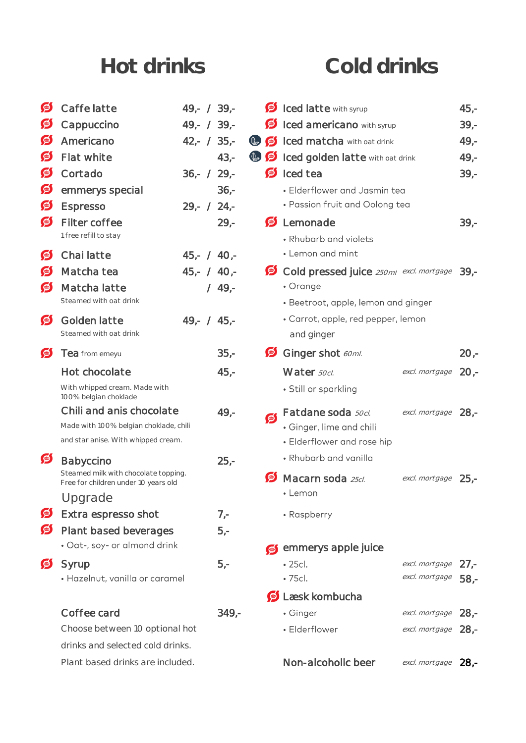## **Hot drinks Cold drinks**

| S         | Caffe latte                                                                  | $49 - / 39 -$ |          |           | <b>D</b> Iced latte with syrup                   |                     | $45,-$ |
|-----------|------------------------------------------------------------------------------|---------------|----------|-----------|--------------------------------------------------|---------------------|--------|
| 鱼         | Cappuccino                                                                   | $49 - / 39 -$ |          |           | <b>S</b> Iced americano with syrup               |                     | $39 -$ |
| S         | Americano                                                                    | $42 - 735 -$  |          |           | <b>D S</b> Iced matcha with oat drink            |                     | $49 -$ |
| S         | Flat white                                                                   |               | $43,-$   |           | <b>C</b> for Iced golden latte with oat drink    |                     | $49,-$ |
| S         | Cortado                                                                      | $36 - / 29 -$ |          |           | $\bullet$ Iced tea                               |                     | $39 -$ |
| S         | emmerys special                                                              |               | $36 -$   |           | · Elderflower and Jasmin tea                     |                     |        |
| S         | <b>Espresso</b>                                                              | $29 - 724 -$  |          |           | • Passion fruit and Oolong tea                   |                     |        |
| S         | Filter coffee<br>1 free refill to stay                                       |               | $29 -$   |           | S Lemonade<br>• Rhubarb and violets              |                     | $39 -$ |
| 9         | Chai latte                                                                   | $45,- / 40,-$ |          |           | • Lemon and mint                                 |                     |        |
| 9         | Matcha tea                                                                   | $45 - / 40 -$ |          |           | Cold pressed juice 250ml excl. mortgage 39,-     |                     |        |
| $\bullet$ | Matcha latte                                                                 |               | $/$ 49,- |           | • Orange                                         |                     |        |
|           | Steamed with oat drink                                                       |               |          |           | • Beetroot, apple, lemon and ginger              |                     |        |
| $\bullet$ | Golden latte<br>Steamed with oat drink                                       | $49 - 745 -$  |          |           | • Carrot, apple, red pepper, lemon<br>and ginger |                     |        |
| 鱼         | Tea from emeyu                                                               |               | $35 -$   |           | Ginger shot 60ml.                                |                     | $20 -$ |
|           | Hot chocolate                                                                |               | $45,-$   |           | Water 50cl.                                      | excl. mortgage      | $2O -$ |
|           | With whipped cream. Made with<br>100% belgian choklade                       |               |          |           | • Still or sparkling                             |                     |        |
|           | Chili and anis chocolate                                                     |               | $49 -$   | <b>D</b>  | Fatdane soda <b>50cl.</b>                        | excl. mortgage 28,- |        |
|           | Made with 100% belgian choklade, chili                                       |               |          |           | • Ginger, lime and chili                         |                     |        |
|           | and star anise. With whipped cream.                                          |               |          |           | • Elderflower and rose hip                       |                     |        |
| 鱼         | Babyccino                                                                    |               | $25 -$   |           | • Rhubarb and vanilla                            |                     |        |
|           | Steamed milk with chocolate topping.<br>Free for children under 10 years old |               |          | $\bullet$ | Macarn soda 25cl.                                | excl. mortgage      | $25 -$ |
|           | Upgrade                                                                      |               |          |           | • Lemon                                          |                     |        |
| 9         | Extra espresso shot                                                          |               | $7 -$    |           | • Raspberry                                      |                     |        |
| S         | Plant based beverages                                                        |               | $5,-$    |           |                                                  |                     |        |
|           | · Oat-, soy- or almond drink                                                 |               |          |           | emmerys apple juice                              |                     |        |
| 鱼         | Syrup                                                                        |               | $5,-$    |           | · 25cl.                                          | excl. mortgage      | $27 -$ |
|           | · Hazelnut, vanilla or caramel                                               |               |          |           | · 75cl.                                          | excl. mortgage      | $58 -$ |
|           |                                                                              |               |          |           | $\bullet$ Læsk kombucha                          |                     |        |
|           | Coffee card                                                                  |               | $349 -$  |           | • Ginger                                         | excl. mortgage      | $28 -$ |
|           | Choose between 10 optional hot                                               |               |          |           | • Elderflower                                    | excl. mortgage      | $28 -$ |
|           | drinks and selected cold drinks.                                             |               |          |           |                                                  |                     |        |
|           | Plant based drinks are included.                                             |               |          |           | Non-alcoholic beer                               | excl. mortgage      | $28 -$ |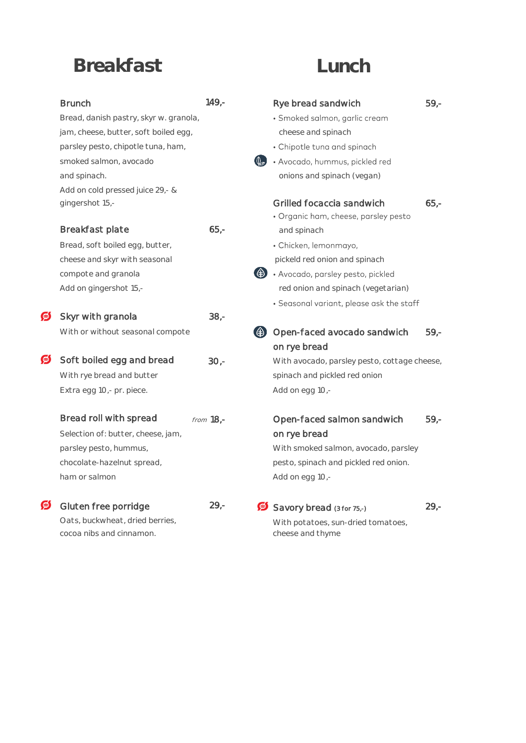## **Breakfast Lunch**

|   | <b>Brunch</b>                          | $149,-$     | Rye bread sandwich                                      | $59 -$ |
|---|----------------------------------------|-------------|---------------------------------------------------------|--------|
|   | Bread, danish pastry, skyr w. granola, |             | · Smoked salmon, garlic cream                           |        |
|   | jam, cheese, butter, soft boiled egg,  |             | cheese and spinach                                      |        |
|   | parsley pesto, chipotle tuna, ham,     |             | • Chipotle tuna and spinach                             |        |
|   | smoked salmon, avocado                 |             | $(\mathbb{Q}_{\geq})$<br>· Avocado, hummus, pickled red |        |
|   | and spinach.                           |             | onions and spinach (vegan)                              |        |
|   | Add on cold pressed juice 29,- &       |             |                                                         |        |
|   | gingershot 15,-                        |             | Grilled focaccia sandwich                               | $65 -$ |
|   |                                        |             | · Organic ham, cheese, parsley pesto                    |        |
|   | Breakfast plate                        | $65 -$      | and spinach                                             |        |
|   | Bread, soft boiled egg, butter,        |             | · Chicken, lemonmayo,                                   |        |
|   | cheese and skyr with seasonal          |             | pickeld red onion and spinach                           |        |
|   | compote and granola                    |             | · Avocado, parsley pesto, pickled                       |        |
|   | Add on gingershot 15,-                 |             | red onion and spinach (vegetarian)                      |        |
|   |                                        |             | · Seasonal variant, please ask the staff                |        |
| G | Skyr with granola                      | $38 -$      |                                                         |        |
|   | With or without seasonal compote       |             | Open-faced avocado sandwich                             | $59 -$ |
|   |                                        |             | on rye bread                                            |        |
| S | Soft boiled egg and bread              | $30 -$      | With avocado, parsley pesto, cottage cheese,            |        |
|   | With rye bread and butter              |             | spinach and pickled red onion                           |        |
|   | Extra egg 10,- pr. piece.              |             | Add on egg 10,-                                         |        |
|   |                                        |             |                                                         |        |
|   | Bread roll with spread                 | from $18,-$ | Open-faced salmon sandwich                              | $59 -$ |
|   | Selection of: butter, cheese, jam,     |             | on rye bread                                            |        |
|   | parsley pesto, hummus,                 |             | With smoked salmon, avocado, parsley                    |        |
|   | chocolate-hazelnut spread,             |             | pesto, spinach and pickled red onion.                   |        |
|   | ham or salmon                          |             | Add on egg 10,-                                         |        |
|   |                                        |             |                                                         |        |
| S | Gluten free porridge                   | $29 -$      | Savory bread (3 for 75,-)                               | $29 -$ |
|   | Oats, buckwheat, dried berries,        |             | With potatoes, sun-dried tomatoes,                      |        |
|   |                                        |             |                                                         |        |

cocoa nibs and cinnamon. The cheese and thyme